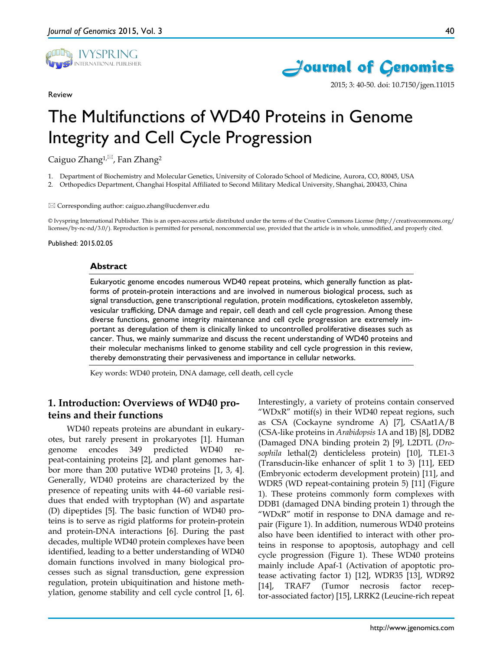

Review



2015; 3: 40-50. doi: 10.7150/jgen.11015

# The Multifunctions of WD40 Proteins in Genome Integrity and Cell Cycle Progression

Caiguo Zhang<sup>1, $\boxtimes$ </sup>, Fan Zhang<sup>2</sup>

1. Department of Biochemistry and Molecular Genetics, University of Colorado School of Medicine, Aurora, CO, 80045, USA

2. Orthopedics Department, Changhai Hospital Affiliated to Second Military Medical University, Shanghai, 200433, China

#### $\boxtimes$  Corresponding author: caiguo.zhang@ucdenver.edu

© Ivyspring International Publisher. This is an open-access article distributed under the terms of the Creative Commons License (http://creativecommons.org/ licenses/by-nc-nd/3.0/). Reproduction is permitted for personal, noncommercial use, provided that the article is in whole, unmodified, and properly cited.

#### Published: 2015.02.05

#### **Abstract**

Eukaryotic genome encodes numerous WD40 repeat proteins, which generally function as platforms of protein-protein interactions and are involved in numerous biological process, such as signal transduction, gene transcriptional regulation, protein modifications, cytoskeleton assembly, vesicular trafficking, DNA damage and repair, cell death and cell cycle progression. Among these diverse functions, genome integrity maintenance and cell cycle progression are extremely important as deregulation of them is clinically linked to uncontrolled proliferative diseases such as cancer. Thus, we mainly summarize and discuss the recent understanding of WD40 proteins and their molecular mechanisms linked to genome stability and cell cycle progression in this review, thereby demonstrating their pervasiveness and importance in cellular networks.

Key words: WD40 protein, DNA damage, cell death, cell cycle

# **1. Introduction: Overviews of WD40 proteins and their functions**

WD40 repeats proteins are abundant in eukaryotes, but rarely present in prokaryotes [1]. Human genome encodes 349 predicted WD40 repeat-containing proteins [2], and plant genomes harbor more than 200 putative WD40 proteins [1, 3, 4]. Generally, WD40 proteins are characterized by the presence of repeating units with 44–60 variable residues that ended with tryptophan (W) and aspartate (D) dipeptides [5]. The basic function of WD40 proteins is to serve as rigid platforms for protein-protein and protein-DNA interactions [6]. During the past decades, multiple WD40 protein complexes have been identified, leading to a better understanding of WD40 domain functions involved in many biological processes such as signal transduction, gene expression regulation, protein ubiquitination and histone methylation, genome stability and cell cycle control [1, 6].

Interestingly, a variety of proteins contain conserved "WDxR" motif(s) in their WD40 repeat regions, such as CSA (Cockayne syndrome A) [7], CSAat1A/B (CSA-like proteins in *Arabidopsis* 1A and 1B) [8], DDB2 (Damaged DNA binding protein 2) [9], L2DTL (*Drosophila* lethal(2) denticleless protein) [10], TLE1-3 (Transducin-like enhancer of split 1 to 3) [11], EED (Embryonic ectoderm development protein) [11], and WDR5 (WD repeat-containing protein 5) [11] (Figure 1). These proteins commonly form complexes with DDB1 (damaged DNA binding protein 1) through the "WDxR" motif in response to DNA damage and repair (Figure 1). In addition, numerous WD40 proteins also have been identified to interact with other proteins in response to apoptosis, autophagy and cell cycle progression (Figure 1). These WD40 proteins mainly include Apaf-1 (Activation of apoptotic protease activating factor 1) [12], WDR35 [13], WDR92 [14], TRAF7 (Tumor necrosis factor receptor-associated factor) [15], LRRK2 (Leucine-rich repeat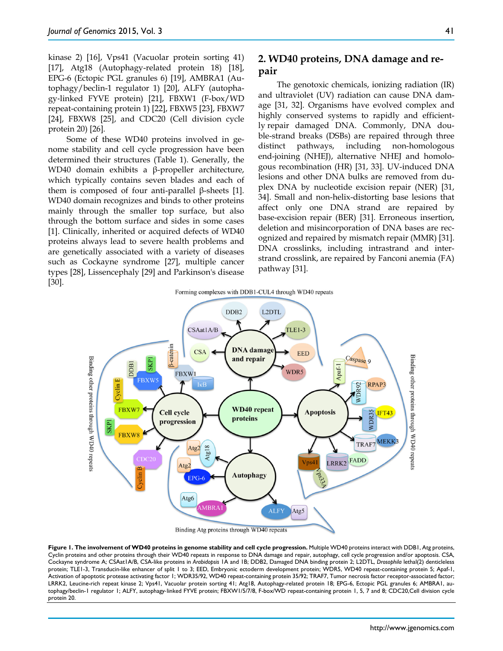kinase 2) [16], Vps41 (Vacuolar protein sorting 41) [17], Atg18 (Autophagy-related protein 18) [18], EPG-6 (Ectopic PGL granules 6) [19], AMBRA1 (Autophagy/beclin-1 regulator 1) [20], ALFY (autophagy‐linked FYVE protein) [21], FBXW1 (F-box/WD repeat-containing protein 1) [22], FBXW5 [23], FBXW7 [24], FBXW8 [25], and CDC20 (Cell division cycle protein 20) [26].

Some of these WD40 proteins involved in genome stability and cell cycle progression have been determined their structures (Table 1). Generally, the WD40 domain exhibits a β-propeller architecture, which typically contains seven blades and each of them is composed of four anti-parallel β-sheets [1]. WD40 domain recognizes and binds to other proteins mainly through the smaller top surface, but also through the bottom surface and sides in some cases [1]. Clinically, inherited or acquired defects of WD40 proteins always lead to severe health problems and are genetically associated with a variety of diseases such as Cockayne syndrome [27], multiple cancer types [28], Lissencephaly [29] and Parkinson's disease [30].

# **2. WD40 proteins, DNA damage and repair**

The genotoxic chemicals, ionizing radiation (IR) and ultraviolet (UV) radiation can cause DNA damage [31, 32]. Organisms have evolved complex and highly conserved systems to rapidly and efficiently repair damaged DNA. Commonly, DNA double-strand breaks (DSBs) are repaired through three distinct pathways, including non-homologous end-joining (NHEJ), alternative NHEJ and homologous recombination (HR) [31, 33]. UV-induced DNA lesions and other DNA bulks are removed from duplex DNA by nucleotide excision repair (NER) [31, 34]. Small and non-helix-distorting base lesions that affect only one DNA strand are repaired by base-excision repair (BER) [31]. Erroneous insertion, deletion and misincorporation of DNA bases are recognized and repaired by mismatch repair (MMR) [31]. DNA crosslinks, including intrastrand and interstrand crosslink, are repaired by Fanconi anemia (FA) pathway [31].



Binding Atg proteins through WD40 repeats

**Figure 1. The involvement of WD40 proteins in genome stability and cell cycle progression.** Multiple WD40 proteins interact with DDB1, Atg proteins, Cyclin proteins and other proteins through their WD40 repeats in response to DNA damage and repair, autophagy, cell cycle progression and/or apoptosis. CSA, Cockayne syndrome A; CSAat1A/B, CSA-like proteins in *Arabidopsis* 1A and 1B; DDB2, Damaged DNA binding protein 2; L2DTL, *Drosophila* lethal(2) denticleless protein; TLE1-3, Transducin-like enhancer of split 1 to 3; EED, Embryonic ectoderm development protein; WDR5, WD40 repeat-containing protein 5; Apaf-1, Activation of apoptotic protease activating factor 1; WDR35/92, WD40 repeat-containing protein 35/92; TRAF7, Tumor necrosis factor receptor-associated factor; LRRK2, Leucine-rich repeat kinase 2; Vps41, Vacuolar protein sorting 41; Atg18, Autophagy-related protein 18; EPG-6, Ectopic PGL granules 6; AMBRA1, autophagy/beclin-1 regulator 1; ALFY, autophagy‐linked FYVE protein; FBXW1/5/7/8, F-box/WD repeat-containing protein 1, 5, 7 and 8; CDC20,Cell division cycle protein 20.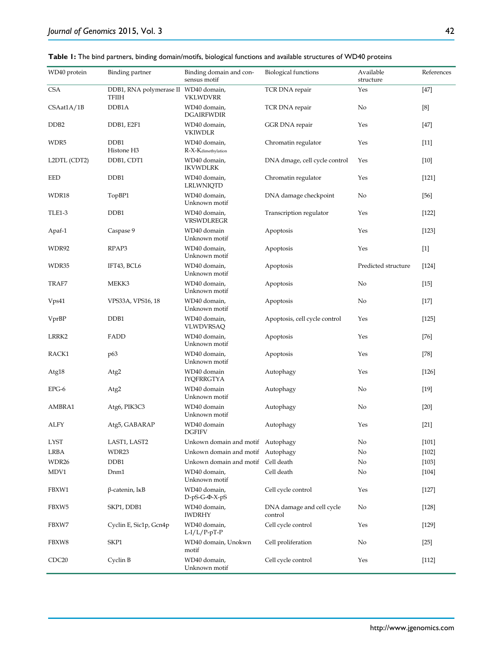| Table 1: The bind partners, binding domain/motifs, biological functions and available structures of WD40 proteins |  |
|-------------------------------------------------------------------------------------------------------------------|--|
|                                                                                                                   |  |

| WD40 protein      | <b>Binding partner</b>                        | Binding domain and con-<br>sensus motif | <b>Biological functions</b>          | Available<br>structure | References |
|-------------------|-----------------------------------------------|-----------------------------------------|--------------------------------------|------------------------|------------|
| <b>CSA</b>        | DDB1, RNA polymerase II WD40 domain,<br>TFIIH | <b>VKLWDVRR</b>                         | TCR DNA repair                       | Yes                    | $[47]$     |
| CSAat1A/1B        | DDB1A                                         | WD40 domain,<br><b>DGAIRFWDIR</b>       | TCR DNA repair                       | No                     | [8]        |
| DDB <sub>2</sub>  | DDB1, E2F1                                    | WD40 domain,<br><b>VKIWDLR</b>          | GGR DNA repair                       | Yes                    | $[47]$     |
| WDR5              | DDB1<br>Histone H3                            | WD40 domain,<br>R-X-Kdimethylation      | Chromatin regulator                  | Yes                    | $[11]$     |
| L2DTL (CDT2)      | DDB1, CDT1                                    | WD40 domain,<br><b>IKVWDLRK</b>         | DNA dmage, cell cycle control        | Yes                    | $[10]$     |
| EED               | DDB1                                          | WD40 domain,<br>LRLWNIQTD               | Chromatin regulator                  | Yes                    | $[121]$    |
| WDR18             | TopBP1                                        | WD40 domain,<br>Unknown motif           | DNA damage checkpoint                | No                     | $[56]$     |
| <b>TLE1-3</b>     | DDB1                                          | WD40 domain,<br>VRSWDLREGR              | Transcription regulator              | Yes                    | [122]      |
| Apaf-1            | Caspase 9                                     | WD40 domain<br>Unknown motif            | Apoptosis                            | Yes                    | $[123]$    |
| WDR92             | RPAP3                                         | WD40 domain,<br>Unknown motif           | Apoptosis                            | Yes                    | $[1]$      |
| WDR35             | IFT43, BCL6                                   | WD40 domain,<br>Unknown motif           | Apoptosis                            | Predicted structure    | $[124]$    |
| TRAF7             | MEKK3                                         | WD40 domain,<br>Unknown motif           | Apoptosis                            | No                     | $[15]$     |
| Vps41             | VPS33A, VPS16, 18                             | WD40 domain,<br>Unknown motif           | Apoptosis                            | No                     | $[17]$     |
| VprBP             | DDB1                                          | WD40 domain,<br>VLWDVRSAQ               | Apoptosis, cell cycle control        | Yes                    | $[125]$    |
| LRRK2             | FADD                                          | WD40 domain,<br>Unknown motif           | Apoptosis                            | Yes                    | $[76]$     |
| RACK1             | p63                                           | WD40 domain,<br>Unknown motif           | Apoptosis                            | Yes                    | $[78]$     |
| Atg18             | Atg2                                          | WD40 domain<br><b>IYQFRRGTYA</b>        | Autophagy                            | Yes                    | $[126]$    |
| $EPG-6$           | Atg2                                          | WD40 domain<br>Unknown motif            | Autophagy                            | No                     | $[19]$     |
| AMBRA1            | Atg6, PIK3C3                                  | WD40 domain<br>Unknown motif            | Autophagy                            | No                     | $[20]$     |
| ALFY              | Atg5, GABARAP                                 | WD40 domain<br><b>DGFIFV</b>            | Autophagy                            | Yes                    | $[21]$     |
| <b>LYST</b>       | LAST1, LAST2                                  | Unkown domain and motif Autophagy       |                                      | No                     | $[101]$    |
| LRBA              | WDR23                                         | Unkown domain and motif Autophagy       |                                      | No                     | $[102]$    |
| WDR26             | DDB1                                          | Unkown domain and motif Cell death      |                                      | No                     | $[103]$    |
| MDV1              | Dnm1                                          | WD40 domain,<br>Unknown motif           | Cell death                           | No                     | $[104]$    |
| FBXW1             | $\beta$ -catenin, IkB                         | WD40 domain,<br>$D-pS-G-\Phi-X-pS$      | Cell cycle control                   | Yes                    | $[127]$    |
| FBXW5             | SKP1, DDB1                                    | WD40 domain,<br><b>IWDRHY</b>           | DNA damage and cell cycle<br>control | No                     | $[128]$    |
| FBXW7             | Cyclin E, Sic1p, Gcn4p                        | WD40 domain,<br>$L-I/L/P-pT-P$          | Cell cycle control                   | Yes                    | $[129]$    |
| FBXW8             | SKP1                                          | WD40 domain, Unokwn<br>motif            | Cell proliferation                   | No                     | $[25]$     |
| CDC <sub>20</sub> | Cyclin B                                      | WD40 domain,<br>Unknown motif           | Cell cycle control                   | Yes                    | [112]      |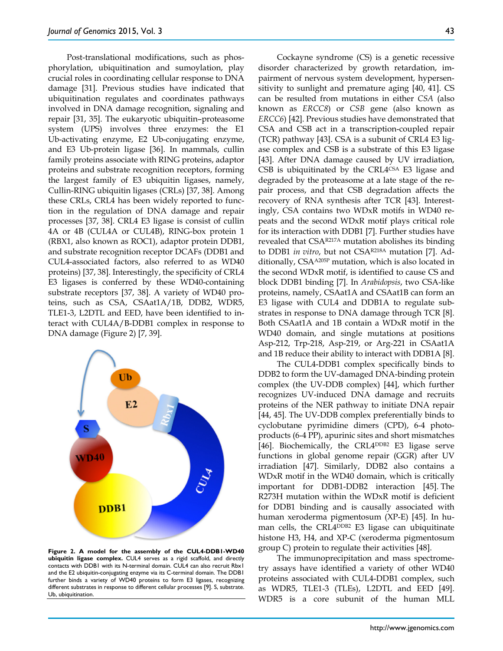Post-translational modifications, such as phosphorylation, ubiquitination and sumoylation, play crucial roles in coordinating cellular response to DNA damage [31]. Previous studies have indicated that ubiquitination regulates and coordinates pathways involved in DNA damage recognition, signaling and repair [31, 35]. The eukaryotic ubiquitin–proteasome system (UPS) involves three enzymes: the E1 Ub-activating enzyme, E2 Ub-conjugating enzyme, and E3 Ub-protein ligase [36]. In mammals, cullin family proteins associate with RING proteins, adaptor proteins and substrate recognition receptors, forming the largest family of E3 ubiquitin ligases, namely, Cullin-RING ubiquitin ligases (CRLs) [37, 38]. Among these CRLs, CRL4 has been widely reported to function in the regulation of DNA damage and repair processes [37, 38]. CRL4 E3 ligase is consist of cullin 4A or 4B (CUL4A or CUL4B), RING-box protein 1 (RBX1, also known as ROC1), adaptor protein DDB1, and substrate recognition receptor DCAFs (DDB1 and CUL4-associated factors, also referred to as WD40 proteins) [37, 38]. Interestingly, the specificity of CRL4 E3 ligases is conferred by these WD40-containing substrate receptors [37, 38]. A variety of WD40 proteins, such as CSA, CSAat1A/1B, DDB2, WDR5, TLE1-3, L2DTL and EED, have been identified to interact with CUL4A/B-DDB1 complex in response to DNA damage (Figure 2) [7, 39].



**Figure 2. A model for the assembly of the CUL4-DDB1-WD40 ubiquitin ligase complex.** CUL4 serves as a rigid scaffold, and directly contacts with DDB1 with its N-terminal domain. CUL4 can also recruit Rbx1 and the E2 ubiquitin-conjugating enzyme via its C-terminal domain. The DDB1 further binds a variety of WD40 proteins to form E3 ligases, recognizing different substrates in response to different cellular processes [9]. S, substrate. Ub, ubiquitination.

Cockayne syndrome (CS) is a genetic recessive disorder characterized by growth retardation, impairment of nervous system development, hypersensitivity to sunlight and premature aging [40, 41]. CS can be resulted from mutations in either *CSA* (also known as *ERCC8*) or *CSB* gene (also known as *ERCC6*) [42]. Previous studies have demonstrated that CSA and CSB act in a transcription-coupled repair (TCR) pathway [43]. CSA is a subunit of CRL4 E3 ligase complex and CSB is a substrate of this E3 ligase [43]. After DNA damage caused by UV irradiation, CSB is ubiquitinated by the CRL4CSA E3 ligase and degraded by the proteasome at a late stage of the repair process, and that CSB degradation affects the recovery of RNA synthesis after TCR [43]. Interestingly, CSA contains two WDxR motifs in WD40 repeats and the second WDxR motif plays critical role for its interaction with DDB1 [7]. Further studies have revealed that CSAR217A mutation abolishes its binding to DDB1 *in vitro*, but not CSAR218A mutation [7]. Additionally, CSAA205P mutation, which is also located in the second WDxR motif, is identified to cause CS and block DDB1 binding [7]. In *Arabidopsis*, two CSA-like proteins, namely, CSAat1A and CSAat1B can form an E3 ligase with CUL4 and DDB1A to regulate substrates in response to DNA damage through TCR [8]. Both CSAat1A and 1B contain a WDxR motif in the WD40 domain, and single mutations at positions Asp-212, Trp-218, Asp-219, or Arg-221 in CSAat1A and 1B reduce their ability to interact with DDB1A [8].

The CUL4-DDB1 complex specifically binds to DDB2 to form the UV-damaged DNA-binding protein complex (the UV-DDB complex) [44], which further recognizes UV-induced DNA damage and recruits proteins of the NER pathway to initiate DNA repair [44, 45]. The UV-DDB complex preferentially binds to cyclobutane pyrimidine dimers (CPD), 6-4 photoproducts (6-4 PP), apurinic sites and short mismatches [46]. Biochemically, the CRL4<sup>DDB2</sup> E3 ligase serve functions in global genome repair (GGR) after UV irradiation [47]. Similarly, DDB2 also contains a WDxR motif in the WD40 domain, which is critically important for DDB1-DDB2 interaction [45]. The R273H mutation within the WDxR motif is deficient for DDB1 binding and is causally associated with human xeroderma pigmentosum (XP-E) [45]. In human cells, the CRL4<sup>DDB2</sup> E3 ligase can ubiquitinate histone H3, H4, and XP-C (xeroderma pigmentosum group C) protein to regulate their activities [48].

The immunoprecipitation and mass spectrometry assays have identified a variety of other WD40 proteins associated with CUL4-DDB1 complex, such as WDR5, TLE1-3 (TLEs), L2DTL and EED [49]. WDR5 is a core subunit of the human MLL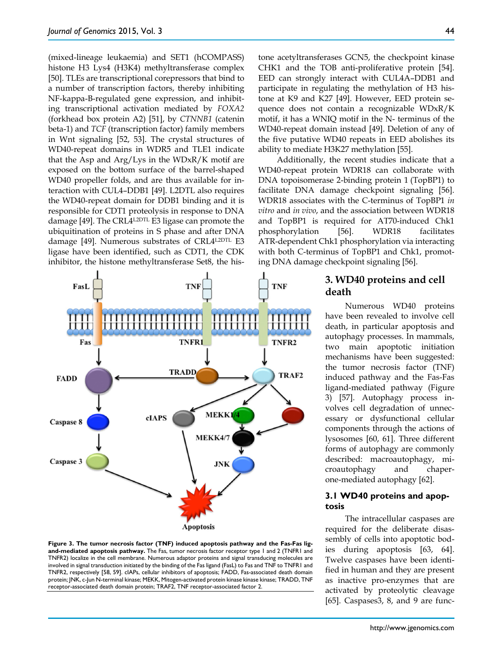(mixed-lineage leukaemia) and SET1 (hCOMPASS) histone H3 Lys4 (H3K4) methyltransferase complex [50]. TLEs are transcriptional corepressors that bind to a number of transcription factors, thereby inhibiting NF-kappa-B-regulated gene expression, and inhibiting transcriptional activation mediated by *FOXA2* (forkhead box protein A2) [51], by *CTNNB1* (catenin beta-1) and *TCF* (transcription factor) family members in Wnt signaling [52, 53]. The crystal structures of WD40-repeat domains in WDR5 and TLE1 indicate that the Asp and Arg/Lys in the WDxR/K motif are exposed on the bottom surface of the barrel-shaped WD40 propeller folds, and are thus available for interaction with CUL4–DDB1 [49]. L2DTL also requires the WD40-repeat domain for DDB1 binding and it is responsible for CDT1 proteolysis in response to DNA damage [49]. The CRL4L2DTL E3 ligase can promote the ubiquitination of proteins in S phase and after DNA damage [49]. Numerous substrates of CRL4L2DTL E3 ligase have been identified, such as CDT1, the CDK inhibitor, the histone methyltransferase Set8, the his-



**Figure 3. The tumor necrosis factor (TNF) induced apoptosis pathway and the Fas-Fas ligand-mediated apoptosis pathway.** The Fas, tumor necrosis factor receptor type 1 and 2 (TNFR1 and TNFR2) localize in the cell membrane. Numerous adaptor proteins and signal transducing molecules are involved in signal transduction initiated by the binding of the Fas ligand (FasL) to Fas and TNF to TNFR1 and TNFR2, respectively [58, 59]. cIAPs, cellular inhibitors of apoptosis; FADD, Fas-associated death domain protein; JNK, c-Jun N-terminal kinase; MEKK, Mitogen-activated protein kinase kinase kinase; TRADD, TNF receptor-associated death domain protein; TRAF2, TNF receptor-associated factor 2.

tone acetyltransferases GCN5, the checkpoint kinase CHK1 and the TOB anti-proliferative protein [54]. EED can strongly interact with CUL4A–DDB1 and participate in regulating the methylation of H3 histone at K9 and K27 [49]. However, EED protein sequence does not contain a recognizable WDxR/K motif, it has a WNIQ motif in the N- terminus of the WD40-repeat domain instead [49]. Deletion of any of the five putative WD40 repeats in EED abolishes its ability to mediate H3K27 methylation [55].

Additionally, the recent studies indicate that a WD40-repeat protein WDR18 can collaborate with DNA topoisomerase 2-binding protein 1 (TopBP1) to facilitate DNA damage checkpoint signaling [56]. WDR18 associates with the C-terminus of TopBP1 *in vitro* and *in vivo*, and the association between WDR18 and TopBP1 is required for AT70-induced Chk1 phosphorylation [56]. WDR18 facilitates ATR-dependent Chk1 phosphorylation via interacting with both C-terminus of TopBP1 and Chk1, promoting DNA damage checkpoint signaling [56].

# **3. WD40 proteins and cell death**

Numerous WD40 proteins have been revealed to involve cell death, in particular apoptosis and autophagy processes. In mammals, two main apoptotic initiation mechanisms have been suggested: the tumor necrosis factor (TNF) induced pathway and the Fas-Fas ligand-mediated pathway (Figure 3) [57]. Autophagy process involves cell degradation of unnecessary or dysfunctional cellular components through the actions of lysosomes [60, 61]. Three different forms of autophagy are commonly described: macroautophagy, microautophagy and chaperone-mediated autophagy [62].

## **3.1 WD40 proteins and apoptosis**

The intracellular caspases are required for the deliberate disassembly of cells into apoptotic bodies during apoptosis [63, 64]. Twelve caspases have been identified in human and they are present as inactive pro-enzymes that are activated by proteolytic cleavage [65]. Caspases3, 8, and 9 are func-

44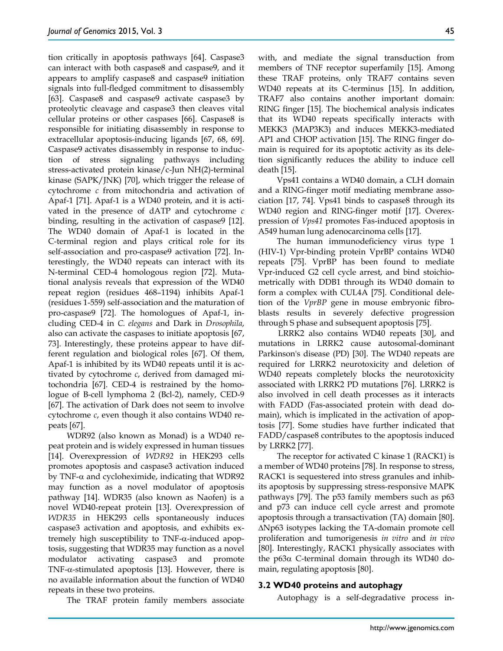tion critically in apoptosis pathways [64]. Caspase3 can interact with both caspase8 and caspase9, and it appears to amplify caspase8 and caspase9 initiation signals into full-fledged commitment to disassembly [63]. Caspase8 and caspase9 activate caspase3 by proteolytic cleavage and caspase3 then cleaves vital cellular proteins or other caspases [66]. Caspase8 is responsible for initiating disassembly in response to extracellular apoptosis-inducing ligands [67, 68, 69]. Caspase9 activates disassembly in response to induction of stress signaling pathways including stress-activated protein kinase/c-Jun NH(2)-terminal kinase (SAPK/JNK) [70], which trigger the release of cytochrome *c* from mitochondria and activation of Apaf-1 [71]. Apaf-1 is a WD40 protein, and it is activated in the presence of dATP and cytochrome *c*  binding, resulting in the activation of caspase9 [12]. The WD40 domain of Apaf-1 is located in the C-terminal region and plays critical role for its self-association and pro-caspase9 activation [72]. Interestingly, the WD40 repeats can interact with its N-terminal CED-4 homologous region [72]. Mutational analysis reveals that expression of the WD40 repeat region (residues 468–1194) inhibits Apaf-1 (residues 1-559) self-association and the maturation of pro-caspase9 [72]. The homologues of Apaf-1, including CED-4 in *C. elegans* and Dark in *Drosophila*, also can activate the caspases to initiate apoptosis [67, 73]. Interestingly, these proteins appear to have different regulation and biological roles [67]. Of them, Apaf-1 is inhibited by its WD40 repeats until it is activated by cytochrome *c*, derived from damaged mitochondria [67]. CED-4 is restrained by the homologue of B-cell lymphoma 2 (Bcl-2), namely, CED-9 [67]. The activation of Dark does not seem to involve cytochrome *c*, even though it also contains WD40 repeats [67].

WDR92 (also known as Monad) is a WD40 repeat protein and is widely expressed in human tissues [14]. Overexpression of *WDR92* in HEK293 cells promotes apoptosis and caspase3 activation induced by TNF- $\alpha$  and cycloheximide, indicating that WDR92 may function as a novel modulator of apoptosis pathway [14]. WDR35 (also known as Naofen) is a novel WD40-repeat protein [13]. Overexpression of *WDR35* in HEK293 cells spontaneously induces caspase3 activation and apoptosis, and exhibits extremely high susceptibility to TNF-α-induced apoptosis, suggesting that WDR35 may function as a novel modulator activating caspase3 and promote TNF- $\alpha$ -stimulated apoptosis [13]. However, there is no available information about the function of WD40 repeats in these two proteins.

The TRAF protein family members associate

with, and mediate the signal transduction from members of TNF receptor superfamily [15]. Among these TRAF proteins, only TRAF7 contains seven WD40 repeats at its C-terminus [15]. In addition, TRAF7 also contains another important domain: RING finger [15]. The biochemical analysis indicates that its WD40 repeats specifically interacts with MEKK3 (MAP3K3) and induces MEKK3-mediated AP1 and CHOP activation [15]. The RING finger domain is required for its apoptotic activity as its deletion significantly reduces the ability to induce cell death [15].

Vps41 contains a WD40 domain, a CLH domain and a RING-finger motif mediating membrane association [17, 74]. Vps41 binds to caspase8 through its WD40 region and RING-finger motif [17]. Overexpression of *Vps41* promotes Fas-induced apoptosis in A549 human lung adenocarcinoma cells [17].

The human immunodeficiency virus type 1 (HIV-1) Vpr-binding protein VprBP contains WD40 repeats [75]. VprBP has been found to mediate Vpr-induced G2 cell cycle arrest, and bind stoichiometrically with DDB1 through its WD40 domain to form a complex with CUL4A [75]. Conditional deletion of the *VprBP* gene in mouse embryonic fibroblasts results in severely defective progression through S phase and subsequent apoptosis [75].

LRRK2 also contains WD40 repeats [30], and mutations in LRRK2 cause autosomal-dominant Parkinson's disease (PD) [30]. The WD40 repeats are required for LRRK2 neurotoxicity and deletion of WD40 repeats completely blocks the neurotoxicity associated with LRRK2 PD mutations [76]. LRRK2 is also involved in cell death processes as it interacts with FADD (Fas-associated protein with dead domain), which is implicated in the activation of apoptosis [77]. Some studies have further indicated that FADD/caspase8 contributes to the apoptosis induced by LRRK2 [77].

The receptor for activated  $C$  kinase 1 (RACK1) is a member of WD40 proteins [78]. In response to stress, RACK1 is sequestered into stress granules and inhibits apoptosis by suppressing stress-responsive MAPK pathways [79]. The p53 family members such as p63 and p73 can induce cell cycle arrest and promote apoptosis through a transactivation (TA) domain [80]. ∆Np63 isotypes lacking the TA-domain promote cell proliferation and tumorigenesis *in vitro* and *in vivo*  [80]. Interestingly, RACK1 physically associates with the p63α C-terminal domain through its WD40 domain, regulating apoptosis [80].

#### **3.2 WD40 proteins and autophagy**

Autophagy is a self-degradative process in-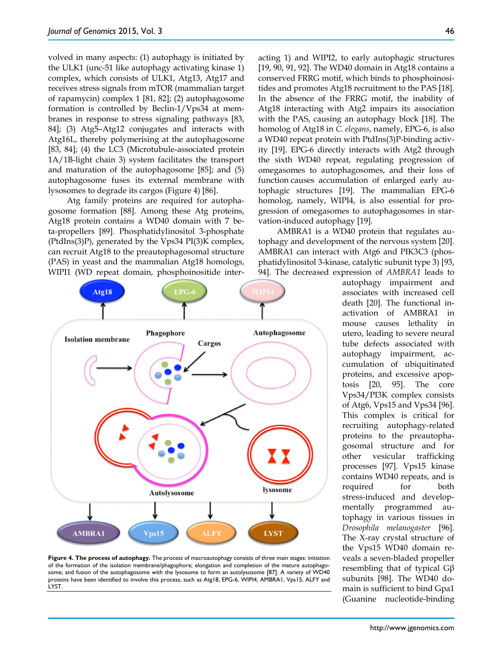volved in many aspects: (1) autophagy is initiated by the ULK1 (unc-51 like autophagy activating kinase 1) complex, which consists of ULK1, Atg13, Atg17 and receives stress signals from mTOR (mammalian target of rapamycin) complex 1 [81, 82]; (2) autophagosome formation is controlled by Beclin-1/Vps34 at membranes in response to stress signaling pathways [83, 84]; (3) Atg5–Atg12 conjugates and interacts with Atg16L, thereby polymerising at the autophagosome [83, 84]; (4) the LC3 (Microtubule-associated protein 1A/1B-light chain 3) system facilitates the transport and maturation of the autophagosome [85]; and (5) autophagosome fuses its external membrane with lysosomes to degrade its cargos (Figure 4) [86].

Atg family proteins are required for autophagosome formation [88]. Among these Atg proteins, Atg18 protein contains a WD40 domain with 7 beta-propellers [89]. Phosphatidylinositol 3-phosphate (PtdIns(3)P), generated by the Vps34 PI(3)K complex, can recruit Atg18 to the preautophagosomal structure (PAS) in yeast and the mammalian Atg18 homologs, WIPI1 (WD repeat domain, phosphoinositide inter-



**Figure 4. The process of autophagy.** The process of macroautophagy consists of three main stages: initiation of the formation of the isolation membrane/phagophore; elongation and completion of the mature autophagosome; and fusion of the autophagosome with the lysosome to form an autolysosome [87]. A variety of WD40 proteins have been identified to involve this process, such as Atg18, EPG-6, WIPI4, AMBRA1, Vps15, ALFY and LYST.

acting 1) and WIPI2, to early autophagic structures [19, 90, 91, 92]. The WD40 domain in Atg18 contains a conserved FRRG motif, which binds to phosphoinositides and promotes Atg18 recruitment to the PAS [18]. In the absence of the FRRG motif, the inability of Atg18 interacting with Atg2 impairs its association with the PAS, causing an autophagy block [18]. The homolog of Atg18 in *C. elegans*, namely, EPG-6, is also a WD40 repeat protein with PtdIns(3)P-binding activity [19]. EPG-6 directly interacts with Atg2 through the sixth WD40 repeat, regulating progression of omegasomes to autophagosomes, and their loss of function causes accumulation of enlarged early autophagic structures [19]. The mammalian EPG-6 homolog, namely, WIPI4, is also essential for progression of omegasomes to autophagosomes in starvation-induced autophagy [19].

AMBRA1 is a WD40 protein that regulates autophagy and development of the nervous system [20]. AMBRA1 can interact with Atg6 and PIK3C3 (phosphatidylinositol 3-kinase, catalytic subunit type 3) [93, 94]. The decreased expression of *AMBRA1* leads to

autophagy impairment and associates with increased cell death [20]. The functional inactivation of AMBRA1 in mouse causes lethality in utero, leading to severe neural tube defects associated with autophagy impairment, accumulation of ubiquitinated proteins, and excessive apoptosis [20, 95]. The core Vps34/PI3K complex consists of Atg6, Vps15 and Vps34 [96]. This complex is critical for recruiting autophagy-related proteins to the preautophagosomal structure and for other vesicular trafficking processes [97]. Vps15 kinase contains WD40 repeats, and is required for both stress-induced and developmentally programmed autophagy in various tissues in *Drosophila melanogaster* [96]. The X-ray crystal structure of the Vps15 WD40 domain reveals a seven-bladed propeller resembling that of typical Gβ subunits [98]. The WD40 domain is sufficient to bind Gpa1 (Guanine nucleotide-binding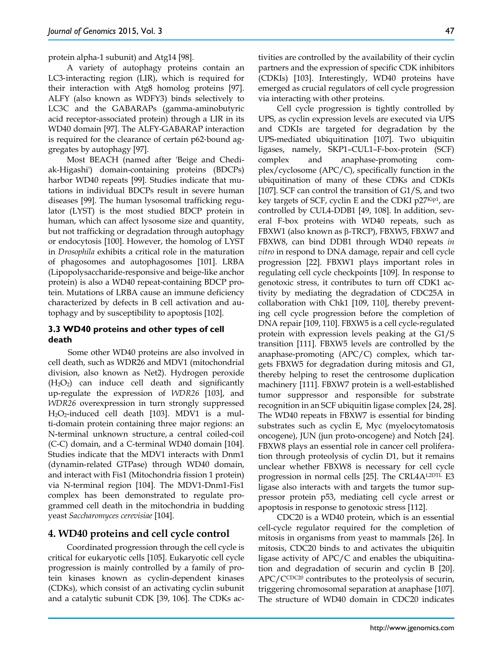protein alpha-1 subunit) and Atg14 [98].

A variety of autophagy proteins contain an LC3‐interacting region (LIR), which is required for their interaction with Atg8 homolog proteins [97]. ALFY (also known as WDFY3) binds selectively to LC3C and the GABARAPs (gamma-aminobutyric acid receptor-associated protein) through a LIR in its WD40 domain [97]. The ALFY‐GABARAP interaction is required for the clearance of certain p62‐bound aggregates by autophagy [97].

Most BEACH (named after 'Beige and Chediak-Higashi') domain-containing proteins (BDCPs) harbor WD40 repeats [99]. Studies indicate that mutations in individual BDCPs result in severe human diseases [99]. The human lysosomal trafficking regulator (LYST) is the most studied BDCP protein in human, which can affect lysosome size and quantity, but not trafficking or degradation through autophagy or endocytosis [100]. However, the homolog of LYST in *Drosophila* exhibits a critical role in the maturation of phagosomes and autophagosomes [101]. LRBA (Lipopolysaccharide-responsive and beige-like anchor protein) is also a WD40 repeat-containing BDCP protein. Mutations of LRBA cause an immune deficiency characterized by defects in B cell activation and autophagy and by susceptibility to apoptosis [102].

## **3.3 WD40 proteins and other types of cell death**

Some other WD40 proteins are also involved in cell death, such as WDR26 and MDV1 (mitochondrial division, also known as Net2). Hydrogen peroxide  $(H<sub>2</sub>O<sub>2</sub>)$  can induce cell death and significantly up-regulate the expression of *WDR26* [103], and *WDR26* overexpression in turn strongly suppressed  $H_2O_2$ -induced cell death [103]. MDV1 is a multi-domain protein containing three major regions: an N-terminal unknown structure, a central coiled-coil (C-C) domain, and a C-terminal WD40 domain [104]. Studies indicate that the MDV1 interacts with Dnm1 (dynamin-related GTPase) through WD40 domain, and interact with Fis1 (Mitochondria fission 1 protein) via N-terminal region [104]. The MDV1-Dnm1-Fis1 complex has been demonstrated to regulate programmed cell death in the mitochondria in budding yeast *Saccharomyces cerevisiae* [104].

# **4. WD40 proteins and cell cycle control**

Coordinated progression through the cell cycle is critical for eukaryotic cells [105]. Eukaryotic cell cycle progression is mainly controlled by a family of protein kinases known as cyclin-dependent kinases (CDKs), which consist of an activating cyclin subunit and a catalytic subunit CDK [39, 106]. The CDKs activities are controlled by the availability of their cyclin partners and the expression of specific CDK inhibitors (CDKIs) [103]. Interestingly, WD40 proteins have emerged as crucial regulators of cell cycle progression via interacting with other proteins.

Cell cycle progression is tightly controlled by UPS, as cyclin expression levels are executed via UPS and CDKIs are targeted for degradation by the UPS-mediated ubiquitination [107]. Two ubiquitin ligases, namely, SKP1–CUL1–F-box-protein (SCF) complex and anaphase-promoting complex/cyclosome (APC/C), specifically function in the ubiquitination of many of these CDKs and CDKIs [107]. SCF can control the transition of G1/S, and two key targets of SCF, cyclin E and the CDKI  $p27<sup>Kip1</sup>$ , are controlled by CUL4-DDB1 [49, 108]. In addition, several F-box proteins with WD40 repeats, such as FBXW1 (also known as β-TRCP), FBXW5, FBXW7 and FBXW8, can bind DDB1 through WD40 repeats *in vitro* in respond to DNA damage, repair and cell cycle progression [22]. FBXW1 plays important roles in regulating cell cycle checkpoints [109]. In response to genotoxic stress, it contributes to turn off CDK1 activity by mediating the degradation of CDC25A in collaboration with Chk1 [109, 110], thereby preventing cell cycle progression before the completion of DNA repair [109, 110]. FBXW5 is a cell cycle-regulated protein with expression levels peaking at the G1/S transition [111]. FBXW5 levels are controlled by the anaphase-promoting (APC/C) complex, which targets FBXW5 for degradation during mitosis and G1, thereby helping to reset the centrosome duplication machinery [111]. FBXW7 protein is a well-established tumor suppressor and responsible for substrate recognition in an SCF ubiquitin ligase complex [24, 28]. The WD40 repeats in FBXW7 is essential for binding substrates such as cyclin E, Myc (myelocytomatosis oncogene), JUN (jun proto-oncogene) and Notch [24]. FBXW8 plays an essential role in cancer cell proliferation through proteolysis of cyclin D1, but it remains unclear whether FBXW8 is necessary for cell cycle progression in normal cells [25]. The CRL4AL2DTL E3 ligase also interacts with and targets the tumor suppressor protein p53, mediating cell cycle arrest or apoptosis in response to genotoxic stress [112].

CDC20 is a WD40 protein, which is an essential cell-cycle regulator required for the completion of mitosis in organisms from yeast to mammals [26]. In mitosis, CDC20 binds to and activates the ubiquitin ligase activity of APC/C and enables the ubiquitination and degradation of securin and cyclin B [20].  $APC/C<sub>CDC20</sub>$  contributes to the proteolysis of securin, triggering chromosomal separation at anaphase [107]. The structure of WD40 domain in CDC20 indicates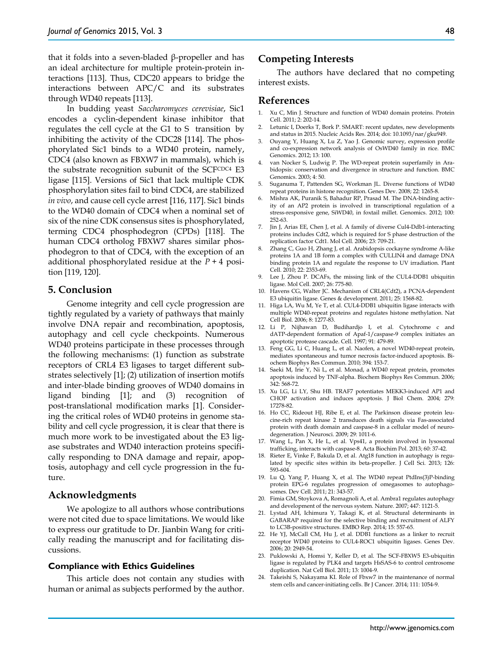that it folds into a seven-bladed β-propeller and has an ideal architecture for multiple protein-protein interactions [113]. Thus, CDC20 appears to bridge the interactions between APC/C and its substrates through WD40 repeats [113].

In budding yeast *Saccharomyces cerevisiae*, Sic1 encodes a cyclin-dependent kinase inhibitor that regulates the cell cycle at the G1 to S transition by inhibiting the activity of the CDC28 [114]. The phosphorylated Sic1 binds to a WD40 protein, namely, CDC4 (also known as FBXW7 in mammals), which is the substrate recognition subunit of the SCFCDC4 E3 ligase [115]. Versions of Sic1 that lack multiple CDK phosphorylation sites fail to bind CDC4, are stabilized *in vivo*, and cause cell cycle arrest [116, 117]. Sic1 binds to the WD40 domain of CDC4 when a nominal set of six of the nine CDK consensus sites is phosphorylated, terming CDC4 phosphodegron (CPDs) [118]. The human CDC4 ortholog FBXW7 shares similar phosphodegron to that of CDC4, with the exception of an additional phosphorylated residue at the *P* + 4 position [119, 120].

## **5. Conclusion**

Genome integrity and cell cycle progression are tightly regulated by a variety of pathways that mainly involve DNA repair and recombination, apoptosis, autophagy and cell cycle checkpoints. Numerous WD40 proteins participate in these processes through the following mechanisms: (1) function as substrate receptors of CRL4 E3 ligases to target different substrates selectively [1]; (2) utilization of insertion motifs and inter-blade binding grooves of WD40 domains in ligand binding [1]; and (3) recognition of post-translational modification marks [1]. Considering the critical roles of WD40 proteins in genome stability and cell cycle progression, it is clear that there is much more work to be investigated about the E3 ligase substrates and WD40 interaction proteins specifically responding to DNA damage and repair, apoptosis, autophagy and cell cycle progression in the future.

# **Acknowledgments**

We apologize to all authors whose contributions were not cited due to space limitations. We would like to express our gratitude to Dr. Jianbin Wang for critically reading the manuscript and for facilitating discussions.

#### **Compliance with Ethics Guidelines**

This article does not contain any studies with human or animal as subjects performed by the author.

## **Competing Interests**

The authors have declared that no competing interest exists.

### **References**

- 1. Xu C, Min J. Structure and function of WD40 domain proteins. Protein Cell. 2011; 2: 202-14.
- 2. Letunic I, Doerks T, Bork P. SMART: recent updates, new developments and status in 2015. Nucleic Acids Res. 2014; doi: 10.1093/nar/gku949.
- 3. Ouyang Y, Huang X, Lu Z, Yao J. Genomic survey, expression profile and co-expression network analysis of OsWD40 family in rice. BMC Genomics. 2012; 13: 100.
- 4. van Nocker S, Ludwig P. The WD-repeat protein superfamily in Arabidopsis: conservation and divergence in structure and function. BMC Genomics. 2003; 4: 50.
- 5. Suganuma T, Pattenden SG, Workman JL. Diverse functions of WD40 repeat proteins in histone recognition. Genes Dev. 2008; 22: 1265-8.
- 6. Mishra AK, Puranik S, Bahadur RP, Prasad M. The DNA-binding activity of an AP2 protein is involved in transcriptional regulation of a stress-responsive gene, SiWD40, in foxtail millet. Genomics. 2012; 100: 252-63.
- 7. Jin J, Arias EE, Chen J, et al. A family of diverse Cul4-Ddb1-interacting proteins includes Cdt2, which is required for S phase destruction of the replication factor Cdt1. Mol Cell. 2006; 23: 709-21.
- 8. Zhang C, Guo H, Zhang J, et al. Arabidopsis cockayne syndrome A-like proteins 1A and 1B form a complex with CULLIN4 and damage DNA binding protein 1A and regulate the response to UV irradiation. Plant Cell. 2010; 22: 2353-69.
- 9. Lee J, Zhou P. DCAFs, the missing link of the CUL4-DDB1 ubiquitin ligase. Mol Cell. 2007; 26: 775-80.
- 10. Havens CG, Walter JC. Mechanism of CRL4(Cdt2), a PCNA-dependent E3 ubiquitin ligase. Genes & development. 2011; 25: 1568-82.
- 11. Higa LA, Wu M, Ye T, et al. CUL4-DDB1 ubiquitin ligase interacts with multiple WD40-repeat proteins and regulates histone methylation. Nat Cell Biol. 2006; 8: 1277-83.
- 12. Li P, Nijhawan D, Budihardjo I, et al. Cytochrome c and dATP-dependent formation of Apaf-1/caspase-9 complex initiates an apoptotic protease cascade. Cell. 1997; 91: 479-89.
- 13. Feng GG, Li C, Huang L, et al. Naofen, a novel WD40-repeat protein, mediates spontaneous and tumor necrosis factor-induced apoptosis. Biochem Biophys Res Commun. 2010; 394: 153-7.
- 14. Saeki M, Irie Y, Ni L, et al. Monad, a WD40 repeat protein, promotes apoptosis induced by TNF-alpha. Biochem Biophys Res Commun. 2006; 342: 568-72.
- 15. Xu LG, Li LY, Shu HB. TRAF7 potentiates MEKK3-induced AP1 and CHOP activation and induces apoptosis. J Biol Chem. 2004; 279: 17278-82.
- 16. Ho CC, Rideout HJ, Ribe E, et al. The Parkinson disease protein leucine-rich repeat kinase 2 transduces death signals via Fas-associated protein with death domain and caspase-8 in a cellular model of neurodegeneration. J Neurosci. 2009; 29: 1011-6.
- 17. Wang L, Pan X, He L, et al. Vps41, a protein involved in lysosomal trafficking, interacts with caspase-8. Acta Biochim Pol. 2013; 60: 37-42.
- 18. Rieter E, Vinke F, Bakula D, et al. Atg18 function in autophagy is regulated by specific sites within its beta-propeller. J Cell Sci. 2013; 126: 593-604.
- 19. Lu Q, Yang P, Huang X, et al. The WD40 repeat PtdIns(3)P-binding protein EPG-6 regulates progression of omegasomes to autophagosomes. Dev Cell. 2011; 21: 343-57.
- 20. Fimia GM, Stoykova A, Romagnoli A, et al. Ambra1 regulates autophagy and development of the nervous system. Nature. 2007; 447: 1121-5.
- 21. Lystad AH, Ichimura Y, Takagi K, et al. Structural determinants in GABARAP required for the selective binding and recruitment of ALFY to LC3B-positive structures. EMBO Rep. 2014; 15: 557-65.
- 22. He YJ, McCall CM, Hu J, et al. DDB1 functions as a linker to recruit receptor WD40 proteins to CUL4-ROC1 ubiquitin ligases. Genes Dev. 2006; 20: 2949-54.
- 23. Puklowski A, Homsi Y, Keller D, et al. The SCF-FBXW5 E3-ubiquitin ligase is regulated by PLK4 and targets HsSAS-6 to control centrosome duplication. Nat Cell Biol. 2011; 13: 1004-9.
- 24. Takeishi S, Nakayama KI. Role of Fbxw7 in the maintenance of normal stem cells and cancer-initiating cells. Br J Cancer. 2014; 111: 1054-9.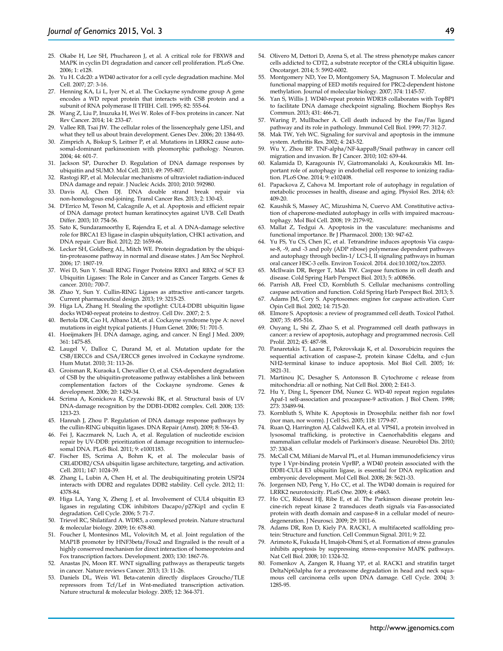- 25. Okabe H, Lee SH, Phuchareon J, et al. A critical role for FBXW8 and MAPK in cyclin D1 degradation and cancer cell proliferation. PLoS One. 2006; 1: e128.
- 26. Yu H. Cdc20: a WD40 activator for a cell cycle degradation machine. Mol Cell. 2007; 27: 3-16.
- 27. Henning KA, Li L, Iyer N, et al. The Cockayne syndrome group A gene encodes a WD repeat protein that interacts with CSB protein and a subunit of RNA polymerase II TFIIH. Cell. 1995; 82: 555-64.
- 28. Wang Z, Liu P, Inuzuka H, Wei W. Roles of F-box proteins in cancer. Nat Rev Cancer. 2014; 14: 233-47.
- 29. Vallee RB, Tsai JW. The cellular roles of the lissencephaly gene LIS1, and what they tell us about brain development. Genes Dev. 2006; 20: 1384-93.
- 30. Zimprich A, Biskup S, Leitner P, et al. Mutations in LRRK2 cause autosomal-dominant parkinsonism with pleomorphic pathology. Neuron. 2004; 44: 601-7.
- 31. Jackson SP, Durocher D. Regulation of DNA damage responses by ubiquitin and SUMO. Mol Cell. 2013; 49: 795-807.
- Rastogi RP, et al. Molecular mechanisms of ultraviolet radiation-induced DNA damage and repair. J Nucleic Acids. 2010; 2010: 592980.
- 33. Davis AJ, Chen DJ. DNA double strand break repair via non-homologous end-joining. Transl Cancer Res. 2013; 2: 130-43.
- 34. D'Errico M, Teson M, Calcagnile A, et al. Apoptosis and efficient repair of DNA damage protect human keratinocytes against UVB. Cell Death Differ. 2003; 10: 754-56.
- 35. Sato K, Sundaramoorthy E, Rajendra E, et al. A DNA-damage selective role for BRCA1 E3 ligase in claspin ubiquitylation, CHK1 activation, and DNA repair. Curr Biol. 2012; 22: 1659-66.
- 36. Lecker SH, Goldberg AL, Mitch WE. Protein degradation by the ubiquitin-proteasome pathway in normal and disease states. J Am Soc Nephrol. 2006; 17: 1807-19.
- 37. Wei D, Sun Y. Small RING Finger Proteins RBX1 and RBX2 of SCF E3 Ubiquitin Ligases: The Role in Cancer and as Cancer Targets. Genes & cancer*.* 2010;: 700-7.
- 38. Zhao Y, Sun Y. Cullin-RING Ligases as attractive anti-cancer targets. Current pharmaceutical design. 2013; 19: 3215-25.
- 39. Higa LA, Zhang H. Stealing the spotlight: CUL4-DDB1 ubiquitin ligase docks WD40-repeat proteins to destroy. Cell Div. 2007; 2: 5.
- 40. Bertola DR, Cao H, Albano LM, et al. Cockayne syndrome type A: novel mutations in eight typical patients. J Hum Genet. 2006; 51: 701-5.
- 41. Hoeijmakers JH. DNA damage, aging, and cancer. N Engl J Med. 2009; 361: 1475-85.
- 42. Laugel V, Dalloz C, Durand M, et al. Mutation update for the CSB/ERCC6 and CSA/ERCC8 genes involved in Cockayne syndrome. Hum Mutat. 2010; 31: 113-26.
- 43. Groisman R, Kuraoka I, Chevallier O, et al. CSA-dependent degradation of CSB by the ubiquitin-proteasome pathway establishes a link between complementation factors of the Cockayne syndrome. Genes & development. 2006; 20: 1429-34.
- 44. Scrima A, Konickova R, Czyzewski BK, et al. Structural basis of UV DNA-damage recognition by the DDB1-DDB2 complex. Cell. 2008; 135: 1213-23.
- 45. Hannah J, Zhou P. Regulation of DNA damage response pathways by the cullin-RING ubiquitin ligases. DNA Repair (Amst). 2009; 8: 536-43.
- 46. Fei J, Kaczmarek N, Luch A, et al. Regulation of nucleotide excision repair by UV-DDB: prioritization of damage recognition to internucleosomal DNA. PLoS Biol. 2011; 9: e1001183.
- 47. Fischer ES, Scrima A, Bohm K, et al. The molecular basis of CRL4DDB2/CSA ubiquitin ligase architecture, targeting, and activation. Cell. 2011; 147: 1024-39.
- 48. Zhang L, Lubin A, Chen H, et al. The deubiquitinating protein USP24 interacts with DDB2 and regulates DDB2 stability. Cell cycle. 2012; 11: 4378-84.
- 49. Higa LA, Yang X, Zheng J, et al. Involvement of CUL4 ubiquitin E3 ligases in regulating CDK inhibitors Dacapo/p27Kip1 and cyclin E degradation. Cell Cycle. 2006; 5: 71-7.
- 50. Trievel RC, Shilatifard A. WDR5, a complexed protein. Nature structural & molecular biology. 2009; 16: 678-80.
- 51. Foucher I, Montesinos ML, Volovitch M, et al. Joint regulation of the MAP1B promoter by HNF3beta/Foxa2 and Engrailed is the result of a highly conserved mechanism for direct interaction of homeoproteins and Fox transcription factors. Development. 2003; 130: 1867-76.
- 52. Anastas JN, Moon RT. WNT signalling pathways as therapeutic targets in cancer. Nature reviews Cancer. 2013; 13: 11-26.
- 53. Daniels DL, Weis WI. Beta-catenin directly displaces Groucho/TLE repressors from Tcf/Lef in Wnt-mediated transcription activation. Nature structural & molecular biology. 2005; 12: 364-371.
- 54. Olivero M, Dettori D, Arena S, et al. The stress phenotype makes cancer cells addicted to CDT2, a substrate receptor of the CRL4 ubiquitin ligase. Oncotarget. 2014; 5: 5992-6002.
- 55. Montgomery ND, Yee D, Montgomery SA, Magnuson T. Molecular and functional mapping of EED motifs required for PRC2-dependent histone methylation. Journal of molecular biology. 2007; 374: 1145-57.
- 56. Yan S, Willis J. WD40-repeat protein WDR18 collaborates with TopBP1 to facilitate DNA damage checkpoint signaling. Biochem Biophys Res Commun. 2013; 431: 466-71.
- 57. Waring P, Mullbacher A. Cell death induced by the Fas/Fas ligand pathway and its role in pathology. Immunol Cell Biol. 1999; 77: 312-7.
- 58. Mak TW, Yeh WC. Signaling for survival and apoptosis in the immune system. Arthritis Res. 2002; 4: 243-52.
- 59. Wu Y, Zhou BP. TNF-alpha/NF-kappaB/Snail pathway in cancer cell migration and invasion. Br J Cancer. 2010; 102: 639-44.
- 60. Kalamida D, Karagounis IV, Giatromanolaki A, Koukourakis MI. Important role of autophagy in endothelial cell response to ionizing radiation. PLoS One. 2014; 9: e102408.
- 61. Papackova Z, Cahova M. Important role of autophagy in regulation of metabolic processes in health, disease and aging. Physiol Res. 2014; 63: 409-20.
- 62. Kaushik S, Massey AC, Mizushima N, Cuervo AM. Constitutive activation of chaperone-mediated autophagy in cells with impaired macroautophagy. Mol Biol Cell. 2008; 19: 2179-92.
- 63. Mallat Z, Tedgui A. Apoptosis in the vasculature: mechanisms and functional importance. Br J Pharmacol. 2000; 130: 947-62.
- 64. Yu FS, Yu CS, Chen JC, et al. Tetrandrine induces apoptosis Via caspase-8, -9, and -3 and poly (ADP ribose) polymerase dependent pathways and autophagy through beclin-1/ LC3-I, II signaling pathways in human oral cancer HSC-3 cells. Environ Toxicol. 2014. doi:10.1002/tox.22053.
- 65. McIlwain DR, Berger T, Mak TW. Caspase functions in cell death and disease. Cold Spring Harb Perspect Biol. 2013; 5: a008656.
- 66. Parrish AB, Freel CD, Kornbluth S. Cellular mechanisms controlling caspase activation and function. Cold Spring Harb Perspect Biol. 2013; 5.
- 67. Adams JM, Cory S. Apoptosomes: engines for caspase activation. Curr Opin Cell Biol. 2002; 14: 715-20.
- 68. Elmore S. Apoptosis: a review of programmed cell death. Toxicol Pathol. 2007; 35: 495-516.
- 69. Ouyang L, Shi Z, Zhao S, et al. Programmed cell death pathways in cancer: a review of apoptosis, autophagy and programmed necrosis. Cell Prolif. 2012; 45: 487-98.
- 70. Panaretakis T, Laane E, Pokrovskaja K, et al. Doxorubicin requires the sequential activation of caspase-2, protein kinase Cdelta, and c-Jun NH2-terminal kinase to induce apoptosis. Mol Biol Cell. 2005; 16: 3821-31.
- 71. Martinou JC, Desagher S, Antonsson B. Cytochrome c release from mitochondria: all or nothing. Nat Cell Biol. 2000; 2: E41-3.
- 72. Hu Y, Ding L, Spencer DM, Nunez G. WD-40 repeat region regulates Apaf-1 self-association and procaspase-9 activation. J Biol Chem. 1998; 273: 33489-94.
- 73. Kornbluth S, White K. Apoptosis in Drosophila: neither fish nor fowl (nor man, nor worm). J Cell Sci. 2005; 118: 1779-87.
- 74. Ruan Q, Harrington AJ, Caldwell KA, et al. VPS41, a protein involved in lysosomal trafficking, is protective in Caenorhabditis elegans and mammalian cellular models of Parkinson's disease. Neurobiol Dis. 2010; 37: 330-8.
- 75. McCall CM, Miliani de Marval PL, et al. Human immunodeficiency virus type 1 Vpr-binding protein VprBP, a WD40 protein associated with the DDB1-CUL4 E3 ubiquitin ligase, is essential for DNA replication and embryonic development. Mol Cell Biol. 2008; 28: 5621-33.
- 76. Jorgensen ND, Peng Y, Ho CC, et al. The WD40 domain is required for LRRK2 neurotoxicity. PLoS One. 2009; 4: e8463.
- 77. Ho CC, Rideout HJ, Ribe E, et al. The Parkinson disease protein leucine-rich repeat kinase 2 transduces death signals via Fas-associated protein with death domain and caspase-8 in a cellular model of neurodegeneration. J Neurosci. 2009; 29: 1011-6.
- 78. Adams DR, Ron D, Kiely PA. RACK1, A multifaceted scaffolding protein: Structure and function. Cell Commun Signal. 2011; 9: 22.
- 79. Arimoto K, Fukuda H, Imajoh-Ohmi S, et al. Formation of stress granules inhibits apoptosis by suppressing stress-responsive MAPK pathways. Nat Cell Biol. 2008; 10: 1324-32.
- 80. Fomenkov A, Zangen R, Huang YP, et al. RACK1 and stratifin target DeltaNp63alpha for a proteasome degradation in head and neck squamous cell carcinoma cells upon DNA damage. Cell Cycle. 2004; 3: 1285-95.